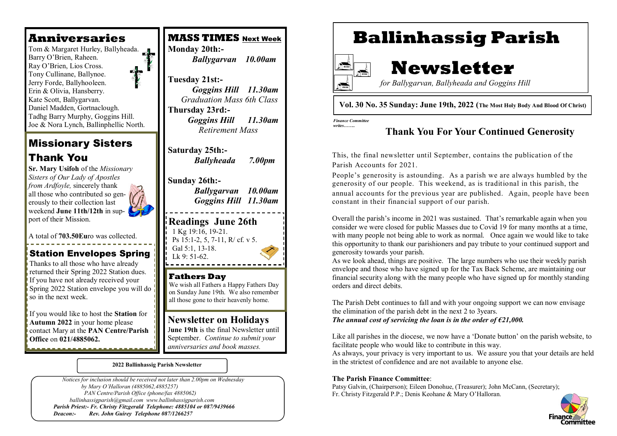## **Anniversaries**

 Tony Cullinane, Ballynoe. Tom & Margaret Hurley, Ballyheada. Barry O'Brien, Raheen. Ray O'Brien, Lios Cross. Jerry Forde, Ballyhooleen. Erin & Olivia, Hansberry. Kate Scott, Ballygarvan. Daniel Madden, Gortnaclough. Tadhg Barry Murphy, Goggins Hill. Joe & Nora Lynch, Ballinphellic North.

## Missionary Sisters Thank You

**Sr. Mary Usifoh** of the *Missionary Sisters of Our Lady of Apostles from Ardfoyle*, sincerely thank all those who contributed so generously to their collection last weekend **June 11th/12th** in support of their Mission.

A total of **703.50Eu**ro was collected.

## Station Envelopes Spring

Thanks to all those who have already returned their Spring 2022 Station dues. If you have not already received your Spring 2022 Station envelope you will do so in the next week.

If you would like to host the **Station** for **Autumn 2022** in your home please contact Mary at the **PAN Centre/Parish Office** on **021/4885062.**

## **MASS TIMES** Next Week **Monday 20th:-**  *Ballygarvan 10.00am*

**Tuesday 21st:-**  *Goggins Hill 11.30am Graduation Mass 6th Class* **Thursday 23rd:-** *Goggins Hill 11.30am Retirement Mass* 

**Saturday 25th:-** *Ballyheada 7.00pm*

## **Sunday 26th:-**

*Ballygarvan 10.00am Goggins Hill 11.30am*

**Readings June 26th** 1 Kg 19:16, 19-21. Ps 15:1-2, 5, 7-11, R/ cf. v 5. Gal 5:1, 13-18. Lk  $9:51-62$ .

#### **Fathers Day** We wish all Fathers a Happy Fathers Day on Sunday June 19th. We also remember all those gone to their heavenly home.

## **Newsletter on Holidays**

J**une 19th** is the final Newsletter until September. *Continue to submit your anniversaries and book masses.* 

#### **2022 Ballinhassig Parish Newsletter**

 *Notices for inclusion should be received not later than 2.00pm on Wednesday by Mary O'Halloran (4885062,4885257) PAN Centre/Parish Office (phone/fax 4885062) ballinhassigparish@gmail.com www.ballinhassigparish.com Parish Priest:- Fr. Christy Fitzgerald Telephone: 4885104 or 087/9439666 Deacon:- Rev. John Guirey Telephone 087/1266257*

# **Ballinhassig Parish**



# **Newsletter**

 *for Ballygarvan, Ballyheada and Goggins Hill* 

### **Vol. 30 No. 35 Sunday: June 19th, 2022 (The Most Holy Body And Blood Of Christ)**

*Finance Committee writes……..*

### **Thank You For Your Continued Generosity**

This, the final newsletter until September, contains the publication of the Parish Accounts for 2021.

People's generosity is astounding. As a parish we are always humbled by the generosity of our people. This weekend, as is traditional in this parish, the annual accounts for the previous year are published. Again, people have been constant in their financial support of our parish.

Overall the parish's income in 2021 was sustained. That's remarkable again when you consider we were closed for public Masses due to Covid 19 for many months at a time, with many people not being able to work as normal. Once again we would like to take this opportunity to thank our parishioners and pay tribute to your continued support and generosity towards your parish.

As we look ahead, things are positive. The large numbers who use their weekly parish envelope and those who have signed up for the Tax Back Scheme, are maintaining our financial security along with the many people who have signed up for monthly standing orders and direct debits.

The Parish Debt continues to fall and with your ongoing support we can now envisage the elimination of the parish debt in the next 2 to 3years. *The annual cost of servicing the loan is in the order of €21,000.* 

Like all parishes in the diocese, we now have a 'Donate button' on the parish website, to facilitate people who would like to contribute in this way.

As always, your privacy is very important to us. We assure you that your details are held in the strictest of confidence and are not available to anyone else.

### **The Parish Finance Committee**:

Patsy Galvin, (Chairperson); Eileen Donohue, (Treasurer); John McCann, (Secretary); Fr. Christy Fitzgerald P.P.; Denis Keohane & Mary O'Halloran.